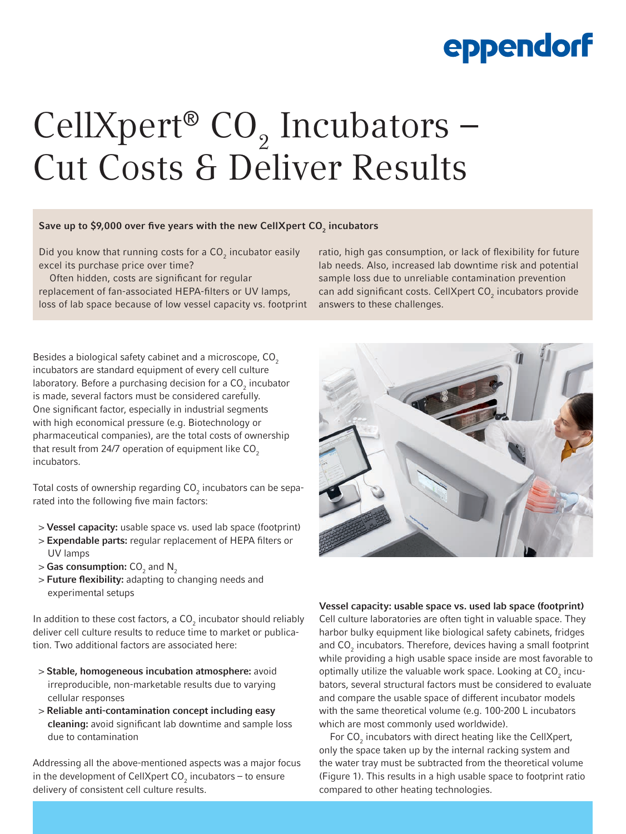### eppendorf

# CellXpert®  $CO<sub>2</sub>$  Incubators – Cut Costs & Deliver Results

### Save up to \$9,000 over five years with the new CellXpert CO $_{\textrm{\tiny{2}}}$  incubators

Did you know that running costs for a  $\mathsf{CO}_2$  incubator easily excel its purchase price over time?

Often hidden, costs are significant for regular replacement of fan-associated HEPA-filters or UV lamps, loss of lab space because of low vessel capacity vs. footprint

Besides a biological safety cabinet and a microscope, CO<sub>2</sub> incubators are standard equipment of every cell culture laboratory. Before a purchasing decision for a CO $_{_2}$  incubator is made, several factors must be considered carefully. One significant factor, especially in industrial segments with high economical pressure (e.g. Biotechnology or pharmaceutical companies), are the total costs of ownership that result from 24/7 operation of equipment like  $CO<sub>2</sub>$ incubators.

Total costs of ownership regarding CO $_2^{}$  incubators can be separated into the following five main factors:

- > Vessel capacity: usable space vs. used lab space (footprint)
- > Expendable parts: regular replacement of HEPA filters or UV lamps
- $>$  Gas consumption: CO $_{_2}$  and N $_{_2}$
- > Future flexibility: adapting to changing needs and experimental setups

In addition to these cost factors, a  $\textsf{CO}_2$  incubator should reliably deliver cell culture results to reduce time to market or publication. Two additional factors are associated here:

- > Stable, homogeneous incubation atmosphere: avoid irreproducible, non-marketable results due to varying cellular responses
- > Reliable anti-contamination concept including easy cleaning: avoid significant lab downtime and sample loss due to contamination

Addressing all the above-mentioned aspects was a major focus in the development of CellXpert CO<sub>2</sub> incubators – to ensure delivery of consistent cell culture results.

ratio, high gas consumption, or lack of flexibility for future lab needs. Also, increased lab downtime risk and potential sample loss due to unreliable contamination prevention can add significant costs. CellXpert  $CO_2$  incubators provide answers to these challenges.



Vessel capacity: usable space vs. used lab space (footprint)

Cell culture laboratories are often tight in valuable space. They harbor bulky equipment like biological safety cabinets, fridges and  $CO_2$  incubators. Therefore, devices having a small footprint while providing a high usable space inside are most favorable to optimally utilize the valuable work space. Looking at  $CO_2$  incubators, several structural factors must be considered to evaluate and compare the usable space of different incubator models with the same theoretical volume (e.g. 100-200 L incubators which are most commonly used worldwide).

For  $CO<sub>2</sub>$  incubators with direct heating like the CellXpert, only the space taken up by the internal racking system and the water tray must be subtracted from the theoretical volume (Figure 1). This results in a high usable space to footprint ratio compared to other heating technologies.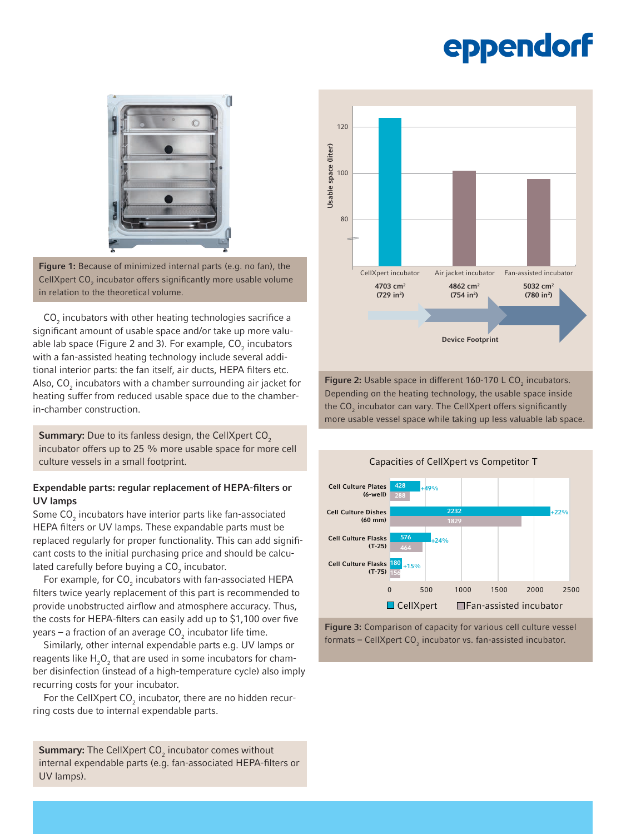## eppendorf



Figure 1: Because of minimized internal parts (e.g. no fan), the CellXpert CO $_2$  incubator offers significantly more usable volume in relation to the theoretical volume.

 $\textsf{CO}_2$  incubators with other heating technologies sacrifice a significant amount of usable space and/or take up more valuable lab space (Figure 2 and 3). For example, CO<sub>2</sub> incubators with a fan-assisted heating technology include several additional interior parts: the fan itself, air ducts, HEPA filters etc. Also, CO $_{_2}$  incubators with a chamber surrounding air jacket for heating suffer from reduced usable space due to the chamberin-chamber construction.

Summary: Due to its fanless design, the CellXpert CO<sub>2</sub> incubator offers up to 25 % more usable space for more cell culture vessels in a small footprint.

#### Expendable parts: regular replacement of HEPA-filters or UV lamps

Some  $\mathsf{CO}_2$  incubators have interior parts like fan-associated HEPA filters or UV lamps. These expandable parts must be replaced regularly for proper functionality. This can add significant costs to the initial purchasing price and should be calculated carefully before buying a  $\textsf{CO}_2^{}$  incubator.

For example, for  $\mathsf{CO}_2$  incubators with fan-associated HEPA filters twice yearly replacement of this part is recommended to provide unobstructed airflow and atmosphere accuracy. Thus, the costs for HEPA-filters can easily add up to \$1,100 over five years – a fraction of an average CO<sub>2</sub> incubator life time.

Similarly, other internal expendable parts e.g. UV lamps or reagents like  ${\sf H}_{\mathfrak{z}} {\sf O}_{\mathfrak{z}}$  that are used in some incubators for chamber disinfection (instead of a high-temperature cycle) also imply recurring costs for your incubator.

For the CellXpert  $CO_2$  incubator, there are no hidden recurring costs due to internal expendable parts.



100

120

**Figure 2:** Usable space in different 160-170 L CO<sub>2</sub> incubators. Depending on the heating technology, the usable space inside the CO $_2$  incubator can vary. The CellXpert offers significantly more usable vessel space while taking up less valuable lab space.





**Summary:** The CellXpert  $CO_2$  incubator comes without internal expendable parts (e.g. fan-associated HEPA-filters or UV lamps).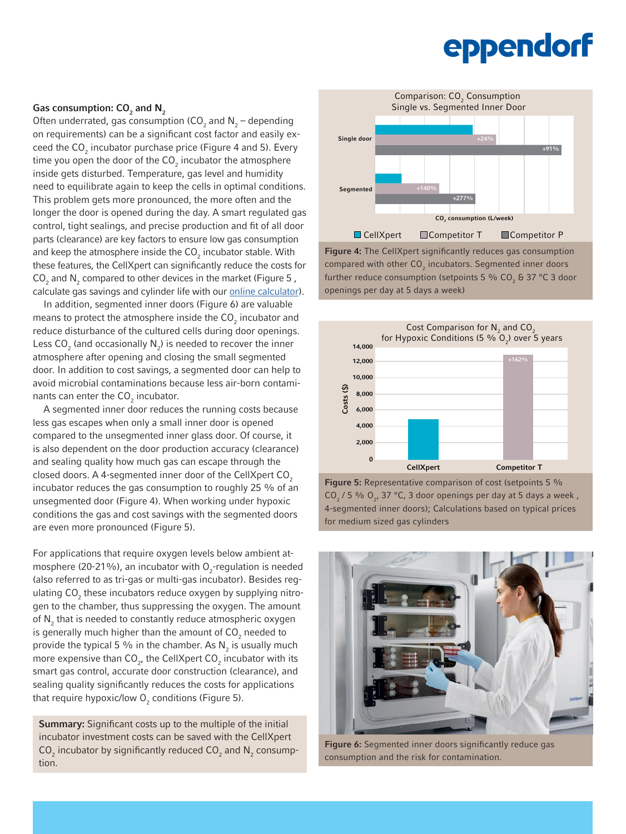## eppendorf

### Gas consumption: CO $_2$  and N $_2$

Often underrated, gas consumption (CO<sub>2</sub> and  $N_2$  – depending on requirements) can be a significant cost factor and easily exceed the CO<sub>2</sub> incubator purchase price (Figure 4 and 5). Every time you open the door of the CO<sub>2</sub> incubator the atmosphere inside gets disturbed. Temperature, gas level and humidity need to equilibrate again to keep the cells in optimal conditions. This problem gets more pronounced, the more often and the longer the door is opened during the day. A smart regulated gas control, tight sealings, and precise production and fit of all door parts (clearance) are key factors to ensure low gas consumption and keep the atmosphere inside the CO $_2$  incubator stable. With these features, the CellXpert can significantly reduce the costs for  $\mathsf{CO}_2$  and  $\mathsf{N}_2$  compared to other devices in the market (Figure 5, calculate gas savings and cylinder life with our [online calculator](https://bit.ly/3fH0Egz)).

In addition, segmented inner doors (Figure 6) are valuable means to protect the atmosphere inside the CO $_2$  incubator and reduce disturbance of the cultured cells during door openings. Less  $CO_2$  (and occasionally  $N_2$ ) is needed to recover the inner atmosphere after opening and closing the small segmented door. In addition to cost savings, a segmented door can help to avoid microbial contaminations because less air-born contaminants can enter the  $\textsf{CO}_2^{\phantom{\dagger}}$  incubator.

A segmented inner door reduces the running costs because less gas escapes when only a small inner door is opened compared to the unsegmented inner glass door. Of course, it is also dependent on the door production accuracy (clearance) and sealing quality how much gas can escape through the closed doors. A 4-segmented inner door of the CellXpert CO<sub>2</sub> incubator reduces the gas consumption to roughly 25 % of an unsegmented door (Figure 4). When working under hypoxic conditions the gas and cost savings with the segmented doors are even more pronounced (Figure 5).

For applications that require oxygen levels below ambient atmosphere (20-21%), an incubator with  $O_2$ -regulation is needed (also referred to as tri-gas or multi-gas incubator). Besides regulating  $\mathsf{CO}_2$  these incubators reduce oxygen by supplying nitrogen to the chamber, thus suppressing the oxygen. The amount of  $\mathsf{N}_2^{}$  that is needed to constantly reduce atmospheric oxygen is generally much higher than the amount of CO $_{_2}$  needed to provide the typical 5 % in the chamber. As  $\mathsf{N}_{2}$  is usually much more expensive than CO<sub>2</sub>, the CellXpert CO<sub>2</sub> incubator with its smart gas control, accurate door construction (clearance), and sealing quality significantly reduces the costs for applications that require hypoxic/low  ${\mathsf O}_2$  conditions (Figure 5).

**Summary:** Significant costs up to the multiple of the initial incubator investment costs can be saved with the CellXpert  $\mathsf{CO}_2$  incubator by significantly reduced  $\mathsf{CO}_2$  and  $\mathsf{N}_2$  consumption.



Figure 4: The CellXpert significantly reduces gas consumption compared with other  $CO_2$  incubators. Segmented inner doors further reduce consumption (setpoints 5 % CO $_{\textrm{2}}$  & 37 °C 3 door openings per day at 5 days a week)



Figure 5: Representative comparison of cost (setpoints 5 %  $CO<sub>2</sub>$  / 5 %  $O<sub>2</sub>$ , 37 °C, 3 door openings per day at 5 days a week, 4-segmented inner doors); Calculations based on typical prices for medium sized gas cylinders



Figure 6: Segmented inner doors significantly reduce gas consumption and the risk for contamination.